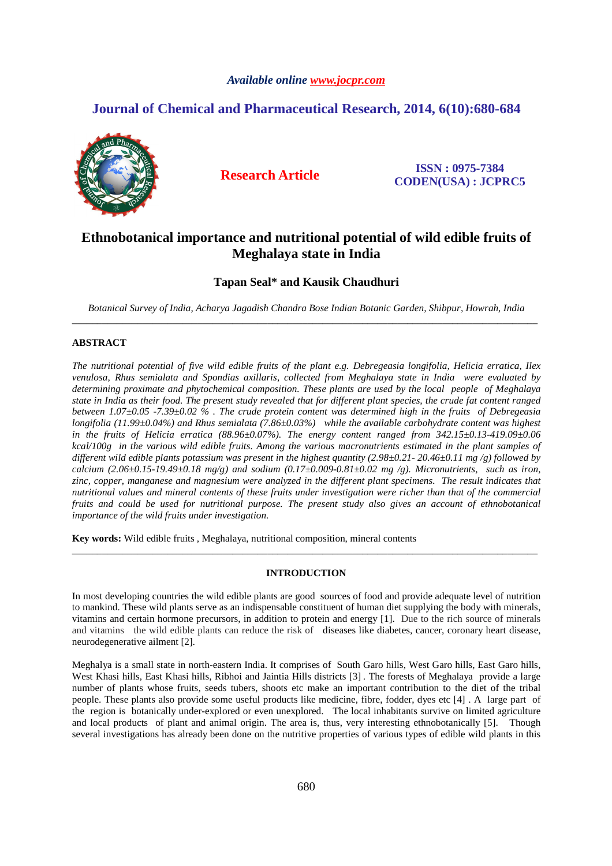## *Available online www.jocpr.com*

## **Journal of Chemical and Pharmaceutical Research, 2014, 6(10):680-684**



**Research Article ISSN : 0975-7384 CODEN(USA) : JCPRC5**

# **Ethnobotanical importance and nutritional potential of wild edible fruits of Meghalaya state in India**

## **Tapan Seal\* and Kausik Chaudhuri**

*Botanical Survey of India, Acharya Jagadish Chandra Bose Indian Botanic Garden, Shibpur, Howrah, India* \_\_\_\_\_\_\_\_\_\_\_\_\_\_\_\_\_\_\_\_\_\_\_\_\_\_\_\_\_\_\_\_\_\_\_\_\_\_\_\_\_\_\_\_\_\_\_\_\_\_\_\_\_\_\_\_\_\_\_\_\_\_\_\_\_\_\_\_\_\_\_\_\_\_\_\_\_\_\_\_\_\_\_\_\_\_\_\_\_\_\_\_\_

## **ABSTRACT**

*The nutritional potential of five wild edible fruits of the plant e.g. Debregeasia longifolia, Helicia erratica, Ilex venulosa, Rhus semialata and Spondias axillaris, collected from Meghalaya state in India were evaluated by determining proximate and phytochemical composition. These plants are used by the local people of Meghalaya state in India as their food. The present study revealed that for different plant species, the crude fat content ranged between 1.07±0.05 -7.39±0.02 % . The crude protein content was determined high in the fruits of Debregeasia longifolia (11.99±0.04%) and Rhus semialata (7.86±0.03%) while the available carbohydrate content was highest in the fruits of Helicia erratica (88.96±0.07%). The energy content ranged from 342.15±0.13-419.09±0.06 kcal/100g in the various wild edible fruits. Among the various macronutrients estimated in the plant samples of different wild edible plants potassium was present in the highest quantity (2.98±0.21- 20.46±0.11 mg /g) followed by calcium (2.06±0.15-19.49±0.18 mg/g) and sodium (0.17±0.009-0.81±0.02 mg /g). Micronutrients, such as iron, zinc, copper, manganese and magnesium were analyzed in the different plant specimens. The result indicates that nutritional values and mineral contents of these fruits under investigation were richer than that of the commercial fruits and could be used for nutritional purpose. The present study also gives an account of ethnobotanical importance of the wild fruits under investigation.*

**Key words:** Wild edible fruits , Meghalaya, nutritional composition, mineral contents

## **INTRODUCTION**

\_\_\_\_\_\_\_\_\_\_\_\_\_\_\_\_\_\_\_\_\_\_\_\_\_\_\_\_\_\_\_\_\_\_\_\_\_\_\_\_\_\_\_\_\_\_\_\_\_\_\_\_\_\_\_\_\_\_\_\_\_\_\_\_\_\_\_\_\_\_\_\_\_\_\_\_\_\_\_\_\_\_\_\_\_\_\_\_\_\_\_\_\_

In most developing countries the wild edible plants are good sources of food and provide adequate level of nutrition to mankind. These wild plants serve as an indispensable constituent of human diet supplying the body with minerals, vitamins and certain hormone precursors, in addition to protein and energy [1]. Due to the rich source of minerals and vitamins the wild edible plants can reduce the risk of diseases like diabetes, cancer, coronary heart disease, neurodegenerative ailment [2].

Meghalya is a small state in north-eastern India. It comprises of South Garo hills, West Garo hills, East Garo hills, West Khasi hills, East Khasi hills, Ribhoi and Jaintia Hills districts [3] . The forests of Meghalaya provide a large number of plants whose fruits, seeds tubers, shoots etc make an important contribution to the diet of the tribal people. These plants also provide some useful products like medicine, fibre, fodder, dyes etc [4] . A large part of the region is botanically under-explored or even unexplored. The local inhabitants survive on limited agriculture and local products of plant and animal origin. The area is, thus, very interesting ethnobotanically [5]. Though several investigations has already been done on the nutritive properties of various types of edible wild plants in this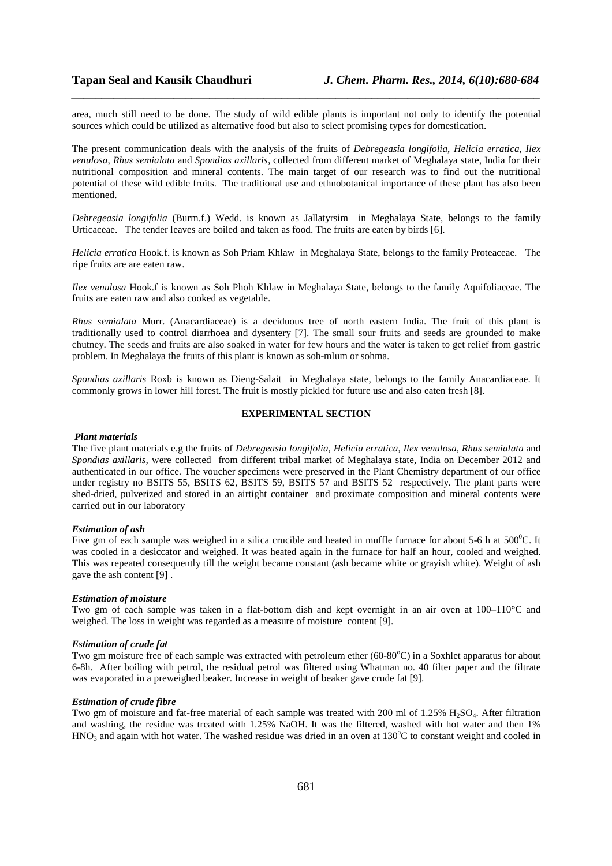area, much still need to be done. The study of wild edible plants is important not only to identify the potential sources which could be utilized as alternative food but also to select promising types for domestication.

*\_\_\_\_\_\_\_\_\_\_\_\_\_\_\_\_\_\_\_\_\_\_\_\_\_\_\_\_\_\_\_\_\_\_\_\_\_\_\_\_\_\_\_\_\_\_\_\_\_\_\_\_\_\_\_\_\_\_\_\_\_\_\_\_\_\_\_\_\_\_\_\_\_\_\_\_\_\_*

The present communication deals with the analysis of the fruits of *Debregeasia longifolia*, *Helicia erratica*, *Ilex venulosa*, *Rhus semialata* and *Spondias axillaris,* collected from different market of Meghalaya state, India for their nutritional composition and mineral contents. The main target of our research was to find out the nutritional potential of these wild edible fruits. The traditional use and ethnobotanical importance of these plant has also been mentioned.

*Debregeasia longifolia* (Burm.f.) Wedd. is known as Jallatyrsim in Meghalaya State, belongs to the family Urticaceae. The tender leaves are boiled and taken as food. The fruits are eaten by birds [6].

*Helicia erratica* Hook.f. is known as Soh Priam Khlaw in Meghalaya State, belongs to the family Proteaceae. The ripe fruits are are eaten raw.

*Ilex venulosa* Hook.f is known as Soh Phoh Khlaw in Meghalaya State, belongs to the family Aquifoliaceae. The fruits are eaten raw and also cooked as vegetable.

*Rhus semialata* Murr. (Anacardiaceae) is a deciduous tree of north eastern India. The fruit of this plant is traditionally used to control diarrhoea and dysentery [7]. The small sour fruits and seeds are grounded to make chutney. The seeds and fruits are also soaked in water for few hours and the water is taken to get relief from gastric problem. In Meghalaya the fruits of this plant is known as soh-mlum or sohma.

*Spondias axillaris* Roxb is known as Dieng-Salait in Meghalaya state, belongs to the family Anacardiaceae. It commonly grows in lower hill forest. The fruit is mostly pickled for future use and also eaten fresh [8].

## **EXPERIMENTAL SECTION**

#### *Plant materials*

The five plant materials e.g the fruits of *Debregeasia longifolia*, *Helicia erratica*, *Ilex venulosa*, *Rhus semialata* and *Spondias axillaris,* were collected from different tribal market of Meghalaya state, India on December 2012 and authenticated in our office. The voucher specimens were preserved in the Plant Chemistry department of our office under registry no BSITS 55, BSITS 62, BSITS 59, BSITS 57 and BSITS 52 respectively. The plant parts were shed-dried, pulverized and stored in an airtight container and proximate composition and mineral contents were carried out in our laboratory

#### *Estimation of ash*

Five gm of each sample was weighed in a silica crucible and heated in muffle furnace for about 5-6 h at  $500^{\circ}$ C. It was cooled in a desiccator and weighed. It was heated again in the furnace for half an hour, cooled and weighed. This was repeated consequently till the weight became constant (ash became white or grayish white). Weight of ash gave the ash content [9] .

#### *Estimation of moisture*

Two gm of each sample was taken in a flat-bottom dish and kept overnight in an air oven at 100–110°C and weighed. The loss in weight was regarded as a measure of moisture content [9].

#### *Estimation of crude fat*

Two gm moisture free of each sample was extracted with petroleum ether (60-80 $^{\circ}$ C) in a Soxhlet apparatus for about 6-8h. After boiling with petrol, the residual petrol was filtered using Whatman no. 40 filter paper and the filtrate was evaporated in a preweighed beaker. Increase in weight of beaker gave crude fat [9].

## *Estimation of crude fibre*

Two gm of moisture and fat-free material of each sample was treated with 200 ml of 1.25% H<sub>2</sub>SO<sub>4</sub>. After filtration and washing, the residue was treated with 1.25% NaOH. It was the filtered, washed with hot water and then 1%  $HNO<sub>3</sub>$  and again with hot water. The washed residue was dried in an oven at 130 $^{\circ}$ C to constant weight and cooled in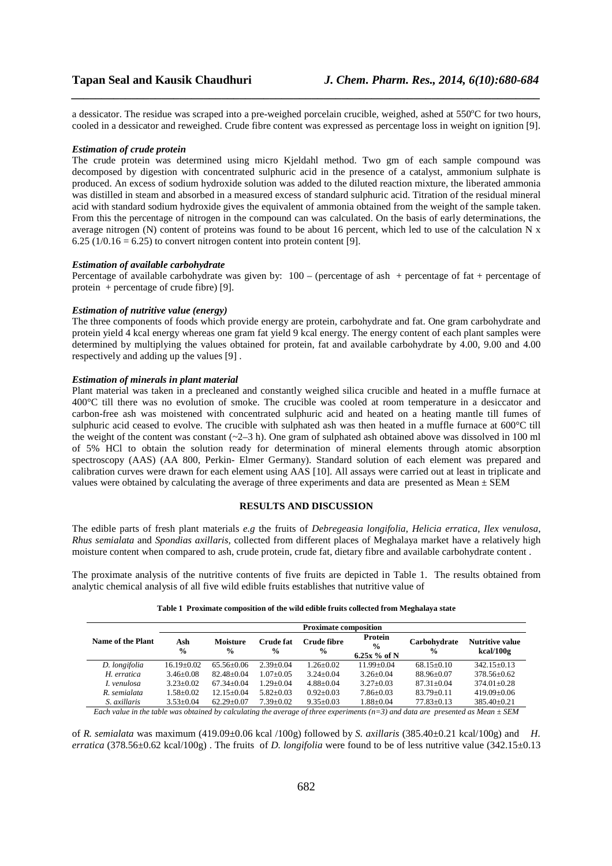a dessicator. The residue was scraped into a pre-weighed porcelain crucible, weighed, ashed at 550°C for two hours, cooled in a dessicator and reweighed. Crude fibre content was expressed as percentage loss in weight on ignition [9].

*\_\_\_\_\_\_\_\_\_\_\_\_\_\_\_\_\_\_\_\_\_\_\_\_\_\_\_\_\_\_\_\_\_\_\_\_\_\_\_\_\_\_\_\_\_\_\_\_\_\_\_\_\_\_\_\_\_\_\_\_\_\_\_\_\_\_\_\_\_\_\_\_\_\_\_\_\_\_*

#### *Estimation of crude protein*

The crude protein was determined using micro Kjeldahl method. Two gm of each sample compound was decomposed by digestion with concentrated sulphuric acid in the presence of a catalyst, ammonium sulphate is produced. An excess of sodium hydroxide solution was added to the diluted reaction mixture, the liberated ammonia was distilled in steam and absorbed in a measured excess of standard sulphuric acid. Titration of the residual mineral acid with standard sodium hydroxide gives the equivalent of ammonia obtained from the weight of the sample taken. From this the percentage of nitrogen in the compound can was calculated. On the basis of early determinations, the average nitrogen (N) content of proteins was found to be about 16 percent, which led to use of the calculation N x 6.25 ( $1/0.16 = 6.25$ ) to convert nitrogen content into protein content [9].

#### *Estimation of available carbohydrate*

Percentage of available carbohydrate was given by:  $100 -$  (percentage of ash + percentage of fat + percentage of protein + percentage of crude fibre) [9].

### *Estimation of nutritive value (energy)*

The three components of foods which provide energy are protein, carbohydrate and fat. One gram carbohydrate and protein yield 4 kcal energy whereas one gram fat yield 9 kcal energy. The energy content of each plant samples were determined by multiplying the values obtained for protein, fat and available carbohydrate by 4.00, 9.00 and 4.00 respectively and adding up the values [9] .

#### *Estimation of minerals in plant material*

Plant material was taken in a precleaned and constantly weighed silica crucible and heated in a muffle furnace at 400°C till there was no evolution of smoke. The crucible was cooled at room temperature in a desiccator and carbon-free ash was moistened with concentrated sulphuric acid and heated on a heating mantle till fumes of sulphuric acid ceased to evolve. The crucible with sulphated ash was then heated in a muffle furnace at 600°C till the weight of the content was constant  $(-2-3 h)$ . One gram of sulphated ash obtained above was dissolved in 100 ml of 5% HCl to obtain the solution ready for determination of mineral elements through atomic absorption spectroscopy (AAS) (AA 800, Perkin- Elmer Germany). Standard solution of each element was prepared and calibration curves were drawn for each element using AAS [10]. All assays were carried out at least in triplicate and values were obtained by calculating the average of three experiments and data are presented as Mean  $\pm$  SEM

## **RESULTS AND DISCUSSION**

The edible parts of fresh plant materials *e.g* the fruits of *Debregeasia longifolia*, *Helicia erratica*, *Ilex venulosa*, *Rhus semialata* and *Spondias axillaris,* collected from different places of Meghalaya market have a relatively high moisture content when compared to ash, crude protein, crude fat, dietary fibre and available carbohydrate content .

The proximate analysis of the nutritive contents of five fruits are depicted in Table 1. The results obtained from analytic chemical analysis of all five wild edible fruits establishes that nutritive value of

|                   | <b>Proximate composition</b> |                                  |                            |                                     |                                                   |                               |                                     |  |
|-------------------|------------------------------|----------------------------------|----------------------------|-------------------------------------|---------------------------------------------------|-------------------------------|-------------------------------------|--|
| Name of the Plant | Ash<br>$\frac{0}{0}$         | <b>Moisture</b><br>$\frac{0}{0}$ | Crude fat<br>$\frac{0}{0}$ | <b>Crude fibre</b><br>$\frac{6}{9}$ | <b>Protein</b><br>$\frac{0}{0}$<br>6.25x $%$ of N | Carbohydrate<br>$\frac{0}{0}$ | <b>Nutritive value</b><br>kcal/100g |  |
| D. longifolia     | $16.19 \pm 0.02$             | $65.56 \pm 0.06$                 | $2.39+0.04$                | $1.26 + 0.02$                       | $11.99 + 0.04$                                    | $68.15 + 0.10$                | $342.15 + 0.13$                     |  |
| H. erratica       | $3.46 + 0.08$                | $82.48 + 0.04$                   | $1.07+0.05$                | $3.24 + 0.04$                       | $3.26 + 0.04$                                     | 88.96+0.07                    | $378.56 + 0.62$                     |  |
| L venulosa        | $3.23 + 0.02$                | $67.34 + 0.04$                   | $1.29 + 0.04$              | $4.88 + 0.04$                       | $3.27 + 0.03$                                     | $87.31 + 0.04$                | $374.01 + 0.28$                     |  |
| R. semialata      | $1.58 + 0.02$                | $12.15+0.04$                     | $5.82 \pm 0.03$            | $0.92+0.03$                         | $7.86 + 0.03$                                     | $83.79 + 0.11$                | $419.09+0.06$                       |  |
| S. axillaris      | $3.53 + 0.04$                | $62.29 + 0.07$                   | $7.39 \pm 0.02$            | $9.35 \pm 0.03$                     | $1.88 + 0.04$                                     | $77.83 + 0.13$                | $385.40 \pm 0.21$                   |  |

**Table 1 Proximate composition of the wild edible fruits collected from Meghalaya state** 

*Each value in the table was obtained by calculating the average of three experiments (n=3) and data are presented as Mean ± SEM* 

of *R. semialata* was maximum (419.09±0.06 kcal /100g) followed by *S. axillaris* (385.40±0.21 kcal/100g) and *H. erratica* (378.56±0.62 kcal/100g) . The fruits of *D. longifolia* were found to be of less nutritive value (342.15±0.13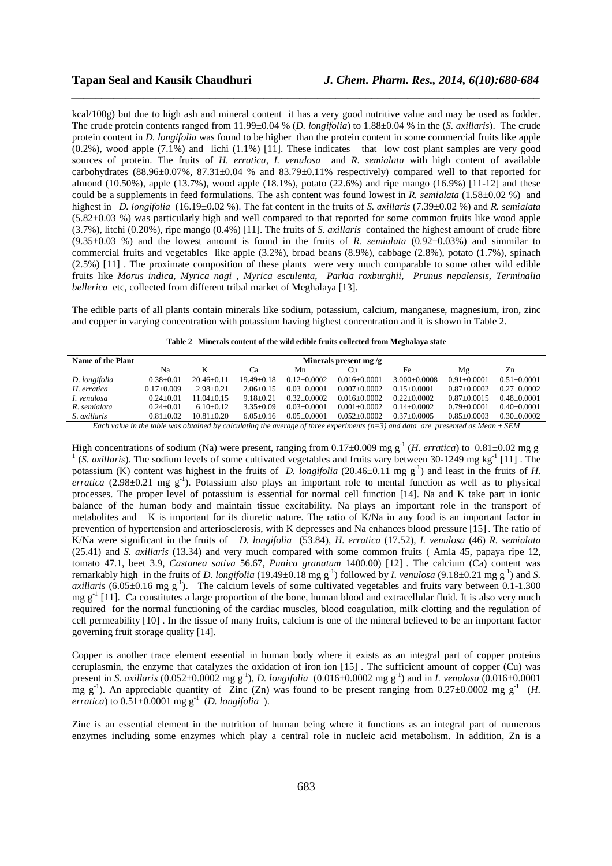kcal/100g) but due to high ash and mineral content it has a very good nutritive value and may be used as fodder. The crude protein contents ranged from 11.99±0.04 % (*D. longifolia*) to 1.88±0.04 % in the (*S. axillaris*). The crude protein content in *D. longifolia* was found to be higher than the protein content in some commercial fruits like apple (0.2%), wood apple (7.1%) and lichi (1.1%) [11]. These indicates that low cost plant samples are very good sources of protein. The fruits of *H. erratica, I. venulosa* and *R. semialata* with high content of available carbohydrates  $(88.96\pm0.07\% , 87.31\pm0.04\%$  and  $83.79\pm0.11\%$  respectively) compared well to that reported for almond (10.50%), apple (13.7%), wood apple (18.1%), potato (22.6%) and ripe mango (16.9%) [11-12] and these could be a supplements in feed formulations. The ash content was found lowest in *R. semialata* (1.58±0.02 %) and highest in *D. longifolia* (16.19±0.02 %). The fat content in the fruits of *S. axillaris* (7.39±0.02 %) and *R. semialata* (5.82±0.03 %) was particularly high and well compared to that reported for some common fruits like wood apple (3.7%), litchi (0.20%), ripe mango (0.4%) [11]. The fruits of *S. axillaris* contained the highest amount of crude fibre (9.35±0.03 %) and the lowest amount is found in the fruits of *R. semialata* (0.92±0.03%) and simmilar to commercial fruits and vegetables like apple (3.2%), broad beans (8.9%), cabbage (2.8%), potato (1.7%), spinach (2.5%) [11] . The proximate composition of these plants were very much comparable to some other wild edible fruits like *Morus indica*, *Myrica nagi* , *Myrica esculenta*, *Parkia roxburghii*, *Prunus nepalensis*, *Terminalia bellerica* etc, collected from different tribal market of Meghalaya [13].

*\_\_\_\_\_\_\_\_\_\_\_\_\_\_\_\_\_\_\_\_\_\_\_\_\_\_\_\_\_\_\_\_\_\_\_\_\_\_\_\_\_\_\_\_\_\_\_\_\_\_\_\_\_\_\_\_\_\_\_\_\_\_\_\_\_\_\_\_\_\_\_\_\_\_\_\_\_\_*

The edible parts of all plants contain minerals like sodium, potassium, calcium, manganese, magnesium, iron, zinc and copper in varying concentration with potassium having highest concentration and it is shown in Table 2.

| Minerals present mg/g |                |               |                 |                  |                 |                 |                 |
|-----------------------|----------------|---------------|-----------------|------------------|-----------------|-----------------|-----------------|
| Nа                    |                | Cа            | Mn              | Cu               | Fe              | Mg              | Zn              |
| $0.38 + 0.01$         | $20.46 + 0.11$ | $1949+018$    | $0.12 + 0.0002$ | $0.016 + 0.0001$ | $3.000+0.0008$  | $0.91 + 0.0001$ | $0.51 + 0.0001$ |
| $0.17+0.009$          | $2.98 + 0.21$  | $2.06 + 0.15$ | $0.03 + 0.0001$ | $0.007 + 0.0002$ | $0.15+0.0001$   | $0.87+0.0002$   | $0.27+0.0002$   |
| $0.24 + 0.01$         | 11.04+0.15     | $9.18 + 0.21$ | $0.32 + 0.0002$ | $0.016 + 0.0002$ | $0.22+0.0002$   | $0.87+0.0015$   | $0.48 + 0.0001$ |
| $0.24 + 0.01$         | $6.10+0.12$    | $3.35+0.09$   | $0.03 + 0.0001$ | $0.001 + 0.0002$ | $0.14 + 0.0002$ | $0.79 + 0.0001$ | $0.40 + 0.0001$ |
| $0.81 + 0.02$         | $10.81 + 0.20$ | $6.05 + 0.16$ | $0.05 + 0.0001$ | $0.052 + 0.0002$ | $0.37+0.0005$   | $0.85 + 0.0003$ | $0.30 + 0.0002$ |
|                       |                |               |                 |                  |                 |                 |                 |

|  |  |  |  |  | Table 2 Minerals content of the wild edible fruits collected from Meghalaya state |
|--|--|--|--|--|-----------------------------------------------------------------------------------|
|--|--|--|--|--|-----------------------------------------------------------------------------------|

*Each value in the table was obtained by calculating the average of three experiments (n=3) and data are presented as Mean ± SEM* 

High concentrations of sodium (Na) were present, ranging from  $0.17\pm0.009$  mg g<sup>-1</sup> (*H. erratica*) to  $0.81\pm0.02$  mg g<sup>-1</sup>  $<sup>1</sup>$  (*S. axillaris*). The sodium levels of some cultivated vegetables and fruits vary between 30-1249 mg kg<sup>-1</sup> [11]. The</sup> potassium (K) content was highest in the fruits of *D. longifolia* (20.46 $\pm$ 0.11 mg g<sup>-1</sup>) and least in the fruits of *H*. *erratica* (2.98 $\pm$ 0.21 mg g<sup>-1</sup>). Potassium also plays an important role to mental function as well as to physical processes. The proper level of potassium is essential for normal cell function [14]. Na and K take part in ionic balance of the human body and maintain tissue excitability. Na plays an important role in the transport of metabolites and K is important for its diuretic nature. The ratio of K/Na in any food is an important factor in prevention of hypertension and arteriosclerosis, with K depresses and Na enhances blood pressure [15] . The ratio of K/Na were significant in the fruits of *D. longifolia* (53.84), *H. erratica* (17.52), *I. venulosa* (46) *R. semialata* (25.41) and *S. axillaris* (13.34) and very much compared with some common fruits ( Amla 45, papaya ripe 12, tomato 47.1, beet 3.9, *Castanea sativa* 56.67, *Punica granatum* 1400.00) [12] . The calcium (Ca) content was remarkably high in the fruits of *D. longifolia* (19.49±0.18 mg  $g^{-1}$ ) followed by *I. venulosa* (9.18±0.21 mg  $g^{-1}$ ) and *S. axillaris* (6.05±0.16 mg g<sup>-1</sup>). The calcium levels of some cultivated vegetables and fruits vary between 0.1-1.300 mg  $g^{-1}$  [11]. Ca constitutes a large proportion of the bone, human blood and extracellular fluid. It is also very much required for the normal functioning of the cardiac muscles, blood coagulation, milk clotting and the regulation of cell permeability [10] . In the tissue of many fruits, calcium is one of the mineral believed to be an important factor governing fruit storage quality [14].

Copper is another trace element essential in human body where it exists as an integral part of copper proteins ceruplasmin, the enzyme that catalyzes the oxidation of iron ion [15] . The sufficient amount of copper (Cu) was present in *S. axillaris* (0.052±0.0002 mg g-1), *D. longifolia* (0.016±0.0002 mg g-1) and in *I. venulosa* (0.016±0.0001 mg g<sup>-1</sup>). An appreciable quantity of Zinc (Zn) was found to be present ranging from  $0.27\pm0.0002$  mg g<sup>-1</sup> (*H. erratica*) to  $0.51 \pm 0.0001$  mg g<sup>-1</sup> (*D. longifolia*).

Zinc is an essential element in the nutrition of human being where it functions as an integral part of numerous enzymes including some enzymes which play a central role in nucleic acid metabolism. In addition, Zn is a